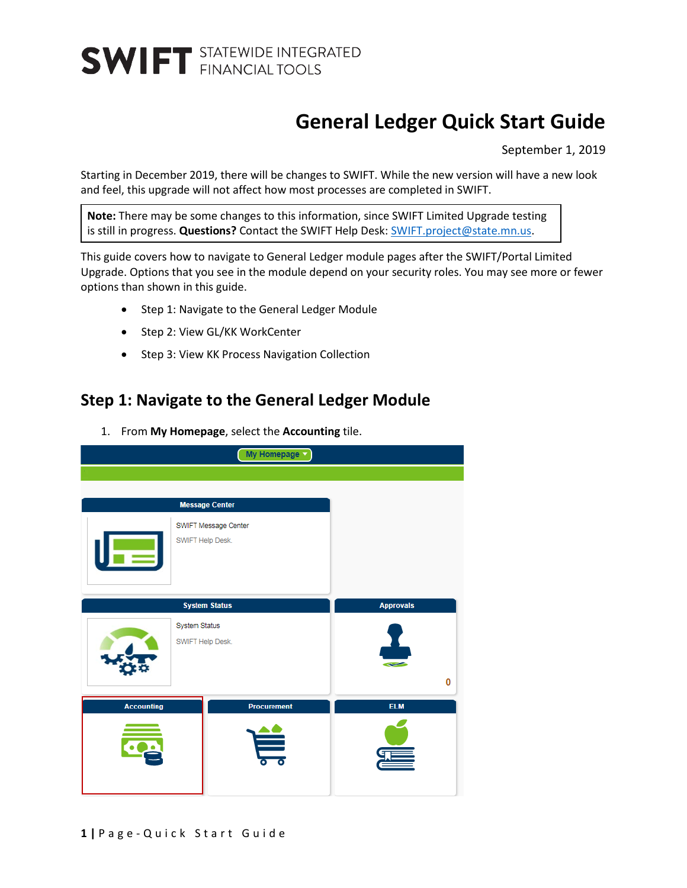### **General Ledger Quick Start Guide**

September 1, 2019

Starting in December 2019, there will be changes to SWIFT. While the new version will have a new look and feel, this upgrade will not affect how most processes are completed in SWIFT.

**Note:** There may be some changes to this information, since SWIFT Limited Upgrade testing is still in progress. **Questions?** Contact the SWIFT Help Desk[: SWIFT.project@state.mn.us.](mailto:SWIFT.project@state.mn.us?subject=SWIFT%20Limited%20Upgrade%20Question)

This guide covers how to navigate to General Ledger module pages after the SWIFT/Portal Limited Upgrade. Options that you see in the module depend on your security roles. You may see more or fewer options than shown in this guide.

- Step 1: Navigate to the General Ledger Module
- Step 2: View GL/KK WorkCenter
- Step 3: View KK Process Navigation Collection

#### **Step 1: Navigate to the General Ledger Module**

1. From **My Homepage**, select the **Accounting** tile.

| My Homepage v                            |                       |                  |  |  |
|------------------------------------------|-----------------------|------------------|--|--|
|                                          |                       |                  |  |  |
|                                          |                       |                  |  |  |
|                                          | <b>Message Center</b> |                  |  |  |
|                                          | SWIFT Message Center  |                  |  |  |
| SWIFT Help Desk.                         |                       |                  |  |  |
|                                          | <b>System Status</b>  | <b>Approvals</b> |  |  |
| <b>System Status</b><br>SWIFT Help Desk. |                       |                  |  |  |
|                                          |                       | 0                |  |  |
| <b>Accounting</b>                        | <b>Procurement</b>    | <b>ELM</b>       |  |  |
|                                          |                       |                  |  |  |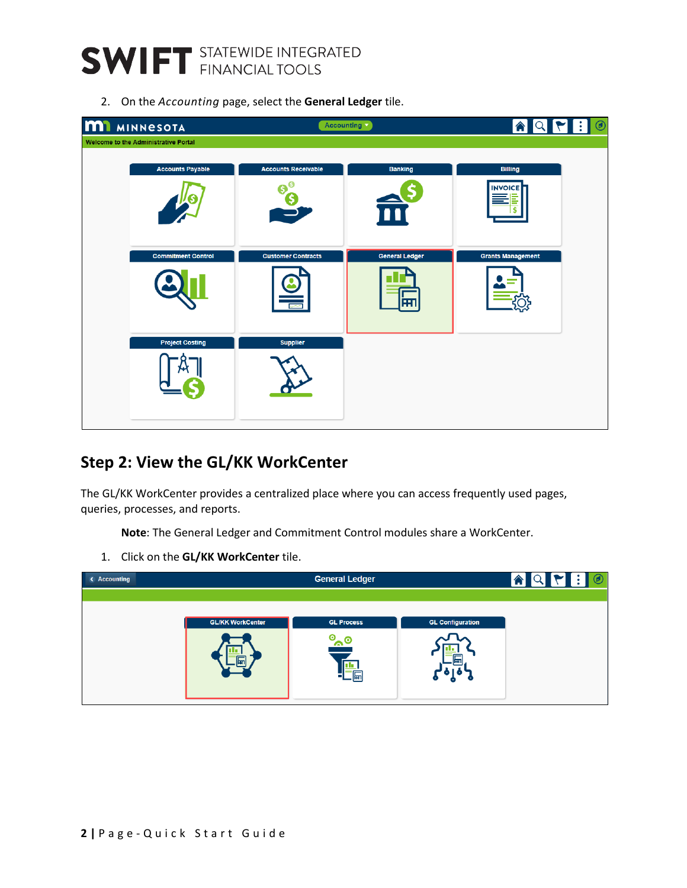

2. On the *Accounting* page, select the **General Ledger** tile.

| <b>MI</b> MINNESOTA                  |                                 | Accounting v                | $\blacksquare$<br>$ \mathsf{Q} $<br>$ \nabla $<br>合 |
|--------------------------------------|---------------------------------|-----------------------------|-----------------------------------------------------|
| Welcome to the Administrative Portal |                                 |                             |                                                     |
| <b>Accounts Payable</b>              | <b>Accounts Receivable</b><br>₿ | <b>Banking</b>              | <b>Billing</b><br><b>INVOICE</b>                    |
| <b>Commitment Control</b>            | <b>Customer Contracts</b>       | <b>General Ledger</b><br>सा | <b>Grants Management</b>                            |
| <b>Project Costing</b>               | <b>Supplier</b>                 |                             |                                                     |

#### **Step 2: View the GL/KK WorkCenter**

The GL/KK WorkCenter provides a centralized place where you can access frequently used pages, queries, processes, and reports.

**Note**: The General Ledger and Commitment Control modules share a WorkCenter.

1. Click on the **GL/KK WorkCenter** tile.

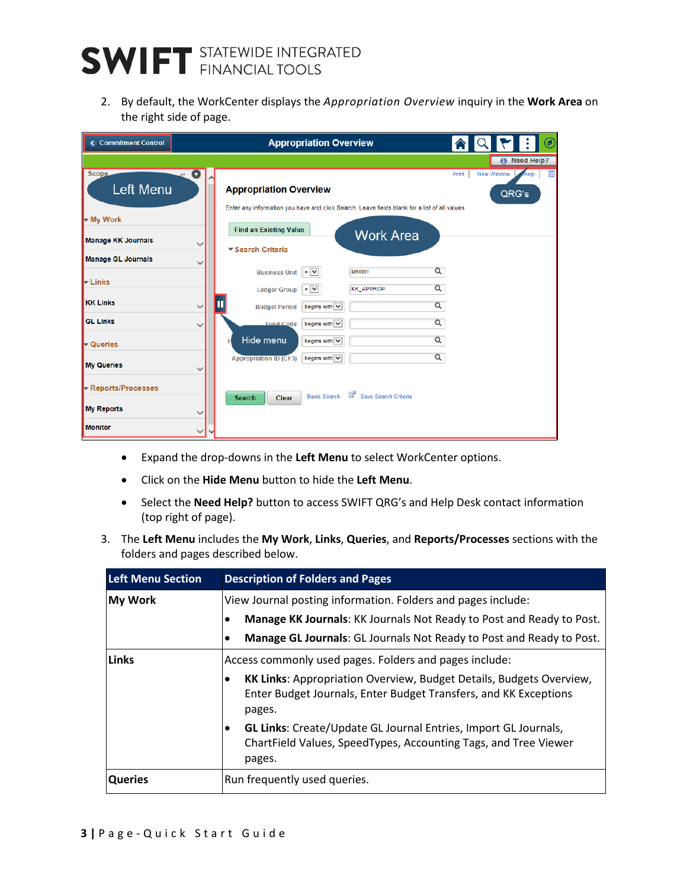## **SWIFT** STATEWIDE INTEGRATED

2. By default, the WorkCenter displays the *Appropriation Overview* inquiry in the **Work Area** on the right side of page.

| <b>Commitment Control</b> |              |                               | <b>Appropriation Overview</b>        |                                                                                               |          |            | $\omega$   |
|---------------------------|--------------|-------------------------------|--------------------------------------|-----------------------------------------------------------------------------------------------|----------|------------|------------|
|                           |              |                               |                                      |                                                                                               |          |            | Need Help? |
| <b>Scope</b>              | ۰            |                               |                                      |                                                                                               | Print    | New Window | Help       |
| Left Menu                 |              | <b>Appropriation Overview</b> |                                      |                                                                                               |          | QRG's      |            |
|                           |              |                               |                                      | Enter any information you have and click Search. Leave fields blank for a list of all values. |          |            |            |
| My Work                   |              | <b>Find an Existing Value</b> |                                      |                                                                                               |          |            |            |
| <b>Manage KK Journals</b> | $\check{ }$  |                               |                                      | <b>Work Area</b>                                                                              |          |            |            |
| <b>Manage GL Journals</b> | $\check{ }$  | ▼ Search Criteria             |                                      |                                                                                               |          |            |            |
|                           |              | <b>Business Unit</b>          | $\equiv$ $\sim$                      | <b>MN001</b>                                                                                  | $\alpha$ |            |            |
| <b>Example</b>            |              | <b>Ledger Group</b>           | $\equiv$ $\sim$                      | <b>KK_APPROP</b>                                                                              | Q        |            |            |
| <b>KK Links</b>           |              | <b>Budget Period</b>          | begins with $\vert \mathbf{v} \vert$ |                                                                                               | Q        |            |            |
| <b>GL Links</b>           | $\checkmark$ | <b>Fund Code</b>              | begins with $\vert \mathbf{v} \vert$ |                                                                                               | $\alpha$ |            |            |
| ← Queries                 |              | Hide menu<br>F                | begins with $\overline{\mathsf{v}}$  |                                                                                               | Q        |            |            |
| <b>My Queries</b>         | ↘            | <b>Appropriation ID (CF3)</b> | begins with $\overline{\mathsf{v}}$  |                                                                                               | Q        |            |            |
|                           |              |                               |                                      |                                                                                               |          |            |            |
| Reports/Processes         |              | Search<br>Clear               | <b>Basic Search</b>                  | Save Search Criteria                                                                          |          |            |            |
| <b>My Reports</b>         | $\checkmark$ |                               |                                      |                                                                                               |          |            |            |
| <b>Monitor</b>            | ◡            |                               |                                      |                                                                                               |          |            |            |

- Expand the drop-downs in the **Left Menu** to select WorkCenter options.
- Click on the **Hide Menu** button to hide the **Left Menu**.
- Select the **Need Help?** button to access SWIFT QRG's and Help Desk contact information (top right of page).
- 3. The **Left Menu** includes the **My Work**, **Links**, **Queries**, and **Reports/Processes** sections with the folders and pages described below.

| <b>Left Menu Section</b> | <b>Description of Folders and Pages</b>                                                                                                           |  |  |
|--------------------------|---------------------------------------------------------------------------------------------------------------------------------------------------|--|--|
| <b>My Work</b>           | View Journal posting information. Folders and pages include:                                                                                      |  |  |
|                          | Manage KK Journals: KK Journals Not Ready to Post and Ready to Post.                                                                              |  |  |
|                          | Manage GL Journals: GL Journals Not Ready to Post and Ready to Post.<br>٠                                                                         |  |  |
| Links                    | Access commonly used pages. Folders and pages include:                                                                                            |  |  |
|                          | KK Links: Appropriation Overview, Budget Details, Budgets Overview,<br>Enter Budget Journals, Enter Budget Transfers, and KK Exceptions<br>pages. |  |  |
|                          | GL Links: Create/Update GL Journal Entries, Import GL Journals,<br>٠<br>ChartField Values, SpeedTypes, Accounting Tags, and Tree Viewer<br>pages. |  |  |
| <b>Queries</b>           | Run frequently used queries.                                                                                                                      |  |  |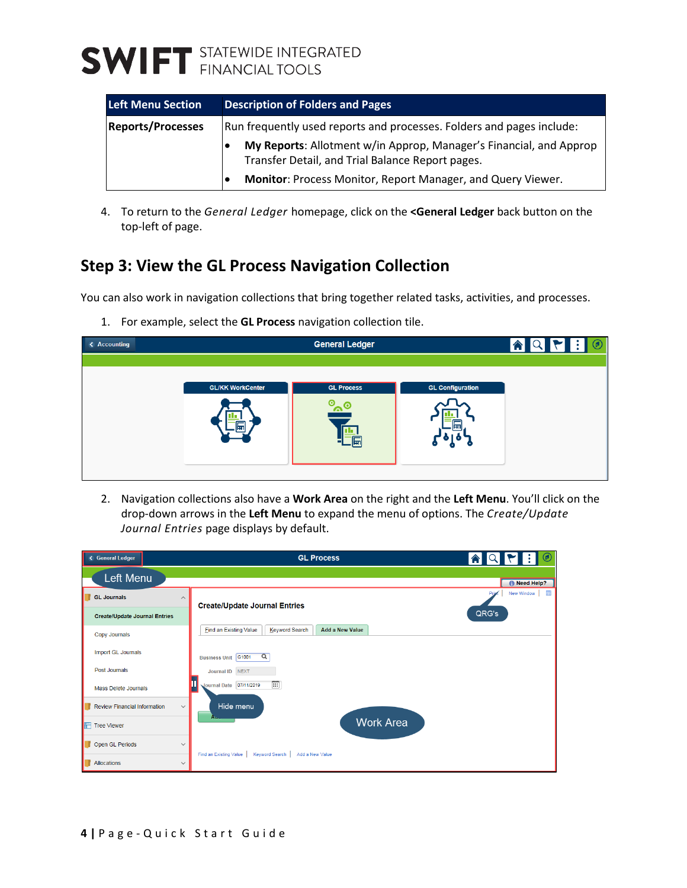### **SWIFT** STATEWIDE INTEGRATED

| <b>Left Menu Section</b> | <b>Description of Folders and Pages</b>                                                                                |  |
|--------------------------|------------------------------------------------------------------------------------------------------------------------|--|
| <b>Reports/Processes</b> | Run frequently used reports and processes. Folders and pages include:                                                  |  |
|                          | My Reports: Allotment w/in Approp, Manager's Financial, and Approp<br>Transfer Detail, and Trial Balance Report pages. |  |
|                          | Monitor: Process Monitor, Report Manager, and Query Viewer.                                                            |  |

4. To return to the *General Ledger* homepage, click on the **<General Ledger** back button on the top-left of page.

### **Step 3: View the GL Process Navigation Collection**

You can also work in navigation collections that bring together related tasks, activities, and processes.

1. For example, select the **GL Process** navigation collection tile.



2. Navigation collections also have a **Work Area** on the right and the **Left Menu**. You'll click on the drop-down arrows in the **Left Menu** to expand the menu of options. The *Create/Update Journal Entries* page displays by default.

| General Ledger                                      | <b>GL Process</b>                                                         | $\circledcirc$          |
|-----------------------------------------------------|---------------------------------------------------------------------------|-------------------------|
| Left Menu                                           |                                                                           | <b>A</b> Need Help?     |
| <b>GL Journals</b><br>$\widehat{\phantom{a}}$       | <b>Create/Update Journal Entries</b>                                      | New Window<br>亩<br>Pris |
| <b>Create/Update Journal Entries</b>                |                                                                           | QRG's                   |
| Copy Journals                                       | <b>Add a New Value</b><br><b>Find an Existing Value</b><br>Keyword Search |                         |
| <b>Import GL Journals</b>                           | $\alpha$<br>Business Unit G1001                                           |                         |
| Post Journals                                       | Journal ID NEXT                                                           |                         |
| <b>Mass Delete Journals</b>                         | 圓<br>Ш<br>Journal Date 07/11/2019                                         |                         |
| <b>Review Financial Information</b><br>$\checkmark$ | Hide menu                                                                 |                         |
| <b>F</b> Tree Viewer                                | A.,<br><b>Work Area</b>                                                   |                         |
| Open GL Periods<br>$\checkmark$                     |                                                                           |                         |
| Allocations<br>$\checkmark$                         | Find an Existing Value<br><b>Keyword Search</b><br>Add a New Value        |                         |